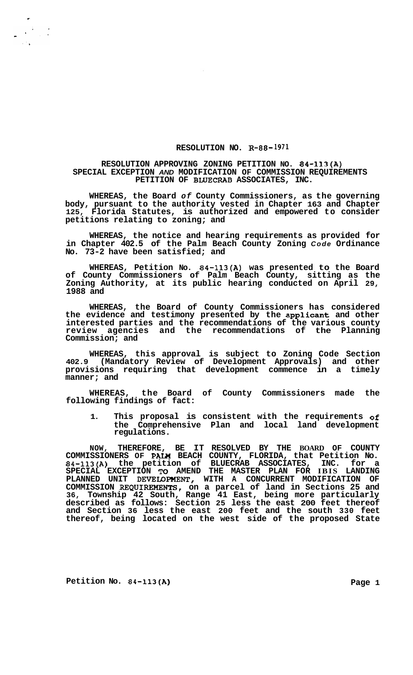## **RESOLUTION NO. R-88-1971**

## **RESOLUTION APPROVING ZONING PETITION NO. 84-113(A) SPECIAL EXCEPTION** *AND* **MODIFICATION OF COMMISSION REQUIREMENTS PETITION OF BLUECRAB ASSOCIATES, INC.**

**WHEREAS, the Board** *of* **County Commissioners, as the governing body, pursuant to the authority vested in Chapter 163 and Chapter 125, Florida Statutes, is authorized and empowered to consider petitions relating to zoning; and** 

**WHEREAS, the notice and hearing requirements as provided for in Chapter 402.5 of the Palm Beach County Zoning** *Code* **Ordinance No. 73-2 have been satisfied; and** 

**WHEREAS, Petition No. 84-113(A) was presented to the Board of County Commissioners of Palm Beach County, sitting as the Zoning Authority, at its public hearing conducted on April 29, 1988 and** 

**WHEREAS, the Board of County Commissioners has considered the evidence and testimony presented by the applicant and other interested parties and the recommendations of the various county review agencies and the recommendations of the Planning Commission; and** 

**WHEREAS, this approval is subject to Zoning Code Section 402.9 (Mandatory Review of Development Approvals) and other provisions requiring that development commence in a timely manner; and** 

**WHEREAS, the Board of County Commissioners made the following findings of fact:** 

**1. This proposal is consistent with the requirements of the Comprehensive Plan and local land development regulations.** 

**NOW, THEREFORE, BE IT RESOLVED BY THE BOARD OF COUNTY COMMISSIONERS OF PAIW BEACH COUNTY, FLORIDA, that Petition No. 84-113(A) the petition of BLUECRAB ASSOCIATES, INC. for a SPECIAL EXCEPTION** *To* **AMEND THE MASTER PLAN FOR IBIS LANDING PLANNED UNIT DEVELOPNENT, WITH A CONCURRENT MODIFICATION OF COMMISSION REQUIREMENTs, on a parcel of land in Sections 25 and 36, Township 42 South, Range 41 East, being more particularly described as follows: Section 25 less the east 200 feet thereof and Section 36 less the east 200 feet and the south 330 feet thereof, being located on the west side of the proposed State** 

**Petition No. 84-113(A)** Page 1

 $\label{eq:2} \frac{1}{\sqrt{2}}\sum_{i=1}^N\frac{1}{\sqrt{2}}\sum_{i=1}^N\frac{1}{\sqrt{2}}\sum_{i=1}^N\frac{1}{\sqrt{2}}\sum_{i=1}^N\frac{1}{\sqrt{2}}\sum_{i=1}^N\frac{1}{\sqrt{2}}\sum_{i=1}^N\frac{1}{\sqrt{2}}\sum_{i=1}^N\frac{1}{\sqrt{2}}\sum_{i=1}^N\frac{1}{\sqrt{2}}\sum_{i=1}^N\frac{1}{\sqrt{2}}\sum_{i=1}^N\frac{1}{\sqrt{2}}\sum_{i=1}^N\frac{1$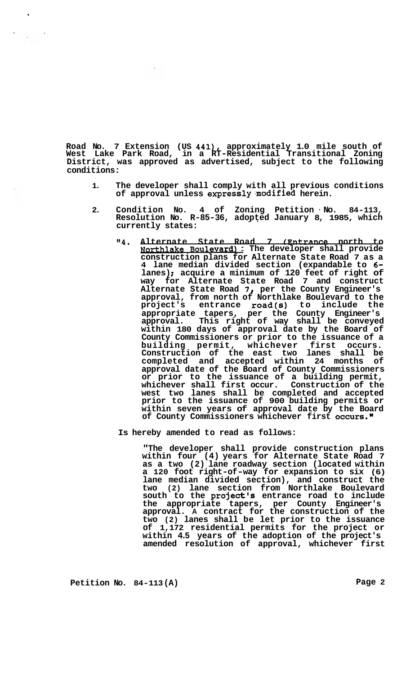**Road No. 7 Extension (US 441), approximately 1.0 mile south of West Lake Park Road, in a RT-Residential Transitional Zoning District, was approved as advertised, subject to the following conditions:** 

- **1. The developer shall comply with all previous conditions of approval unless express1y;modified herein.**
- **2. Condition No. 4 of Zoning Petition No. 84-113, Resolution No. R-85-36, adopted January 8, 1985, which**  \*. **currently states:** 
	- **"4. Alternate State Road 7 fEntrance north to Northlake Roulevard)** : **The developer shall provide construction plans for Alternate State Road 7 as a 4 lane median divided section (expandable to 6 lanes)** ; **acquire a minimum of 120 feet of right of way for Alternate State Road 7 and construct Alternate State Road 7** *8* **per the County Engineer's approval, from north of Northlake Boulevard to the project's entrance road(s) to include the appropriate tapers, per the County Engineer's approval. This right of way shall be conveyed within 180 days of approval date by the Board of County Commissioners or prior to the issuance of a building permit, whichever first occurs. Construction of the east two lanes shall be completed and accepted within 24 months of approval date of the Board of County Commissioners or prior to the issuance of a building permit, whichever shall first occur. Construction of the west two lanes shall be completed and accepted prior to the issuance of 900 building permits or within seven years of approval date by the Board of County Commissioners whichever first occurs.w**

**Is hereby amended to read as follows:** 

**"The developer shall provide construction plans within four (4) years for Alternate State Road 7 as a two (2) lane roadway section (located within a 120 foot right-of-way for expansion to six (6) lane median divided section), and construct the two (2) lane section from Northlake Boulevard south to the project's entrance road to include the appropriate tapers, per County Engineer's approval. A contract for the construction of the two (2) lanes shall be let prior to the issuance of 1,172 residential permits for the project or within 4.5 years of the adoption of the project's amended resolution of approval, whichever first**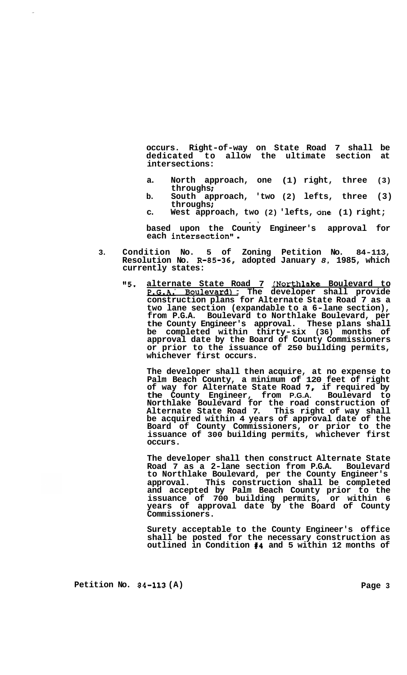**occurs. Right-of-way on State Road 7 shall be dedicated to allow the ultimate section at intersections:** 

- a. North approach, one (1) right, three (3) <br>
throughs:
- **b.** South approach, 'two (2) lefts, three (3)<br>
throughs;<br>  $\frac{1}{2}$
- **c. West approach, two (2) 'lefts, bne (1) right;**  -.

**based upon the County Engineer's approval for each intersection''** .

- **3. Condition No. 5 of Zoning Petition No. 84-113, Resolution No. R-85-36, adopted January** *8,* **1985, which currently states:** 
	- *"5.* **alternate State Road 7 JNorthlake Boulevard to P.G.A.' Boulevard)** : **The developer shall provide construction plans for Alternate State Road 7 as a two lane section (expandable to a 6-lane section), from P.G.A. Boulevard to Northlake Boulevard, per the County Engineer's approval. These plans shall be completed within thirty-six (36) months of approval date by the Board of County Commissioners or prior to the issuance of 250 building permits, whichever first occurs.**

**The developer shall then acquire, at no expense to Palm Beach County, a minimum of 120 feet of right of way for Alternate State Road** *7,* **if required by the County Engineer, from P.G.A. Boulevard to Northlake Boulevard for the road construction of Alternate State Road 7. This right of way shall be acquired within 4 years of approval date of the Board of County Commissioners, or prior to the issuance of 300 building permits, whichever first occurs.** 

**The developer shall then construct Alternate State Road 7 as a 2-lane section from P.G.A. Boulevard to Northlake Boulevard, per the County Engineer's approval. This construction shall be completed and accepted by Palm Beach County prior to the issuance of 700 building permits, or within 6 years of approval date by the Board of County Commissioners.** 

**Surety acceptable to the County Engineer's office shall be posted for the necessary construction as outlined in Condition 114 and 5 within 12 months of** 

Petition No. 84-113 (A) Page 3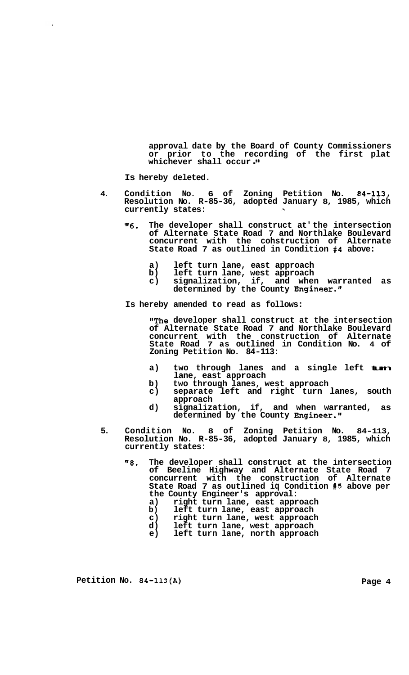**approval date by the Board of County Commissioners or prior to the recording of the first plat whichever shall occur** . **I'** 

**Is hereby deleted.** 

 $\ddot{\phantom{a}}$ 

- **4. Condition No. 6 of Zoning Petition No. 84-113, Resolution No. R-85-36, adopted January 8, 1985, which currently states:**  , .,
	- **116. The developer shall construct at' the intersection of Alternate State Road 7 and Northlake Boulevard concurrent with the cohstruction of Alternate State Road 7 as outlined in Condition #4 above:** 
		- **a) left turn lane, east approach**
		- **b) left turn lane, west approach**
		- **c) signalization, if, and when warranted as determined by the County Engineer."**

**Is hereby amended to read as follows:** 

**"The developer shall construct at the intersection of Alternate State Road 7 and Northlake Boulevard concurrent with the construction of Alternate State Road 7 as outlined in Condition No. 4 of Zoning Petition No. 84-113:** 

- **a) two through lanes and a single left turn lane, east approach**
- **b) two through lanes, west approach**
- **c) separate left and right turn lanes, south approach**
- **d) signalization, if, and when warranted, as determined by the County Engineer."**
- **5. Condition No. 8 of Zoning Petition No. 84-113, Resolution No. R-85-36, adopted January 8, 1985, which currently states:** 
	- **"8. The developer shall construct at the intersection of Beeline Highway and Alternate State Road 7 concurrent with the construction of Alternate State Road 7 as outlined iq Condition #5 above per the County Engineer's approval:** 
		- **a) right turn lane, east approach**
		- **b) left turn lane, east approach**
		- **c) right turn lane, west approach**
		- **d) left turn lane, west approach**
		- **e) left turn lane, north approach**

Petition No. 84-113(A) Page 4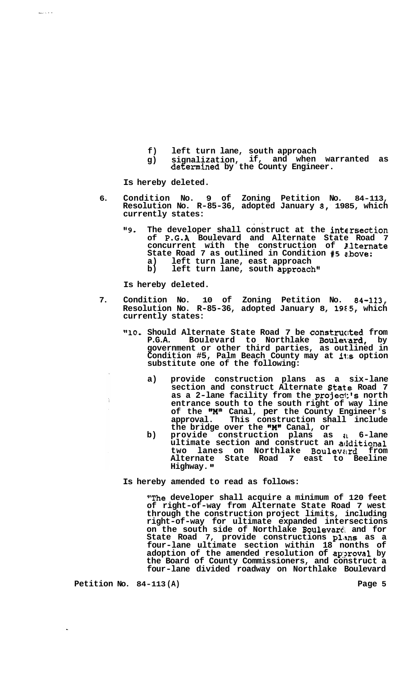- 
- **f) left turn lane, south approach g) signalization, if, and when warranted as determined by the County Engineer.**

**Is hereby deleted.** 

.

- **6. Condition No. 9 of Zoning Petition No. 84-113, Resolution No. R-85-36, adopted January 8,' 1985, which currently states:** 
	- **"9. The developer shall construct at the intc.rsection of P.G.A Boulevard and Alternate State Road 7 concurrent with the construction of P,lternate State Road 7 as outlined in Condition** *#5* **e.bove: a) left turn lane, east approach b) left turn lane, south approach"**

**,I** 

**Is hereby deleted.** 

- **7. Condition No. 10 of Zoning Petition No. 84-113,**  Resolution No. R-85-36, adopted January 8, 1985, which **currently states:** 
	- **"lo. Should Alternate State Road 7 be constructed from P.G.A.** Boulevard to Northlake **Boulevard,** by **government or other third parties, as outlined in Condition #5, Palm Beach County may at it:s option substitute one of the following:** 
		- **a) provide construction plans as a six-lane**  section and construct Alternate State Road 7 **as a 2-lane facility from the projec1:'s north entrance south to the south right of way line of the "M" Canal, per the County Engineer's approval. This construction shall include**  the bridge over the "**M"** Canal, or
		- **b) provide construction plans as a 6-lane ultimate section and construct an aclditional two lanes on Northlake Boulevelrd from Alternate State Road 7 east to Beeline Highway.**

**Is hereby amended to read as follows:** 

**"The developer shall acquire a minimum of 120 feet of right-of-way from Alternate State Road 7 west through the construction project limits, including right-of-way for ultimate expanded intersections**  on the south side of Northlake **Boulevar**d and for **State Road 7, provide constructions plans as a four-lane ultimate section within 18 nonths of adoption of the amended resolution of ap:?roval by the Board of County Commissioners, and construct a four-lane divided roadway on Northlake Boulevard** 

Petition No. 84-113(A) **Petition No. 84-113(A)**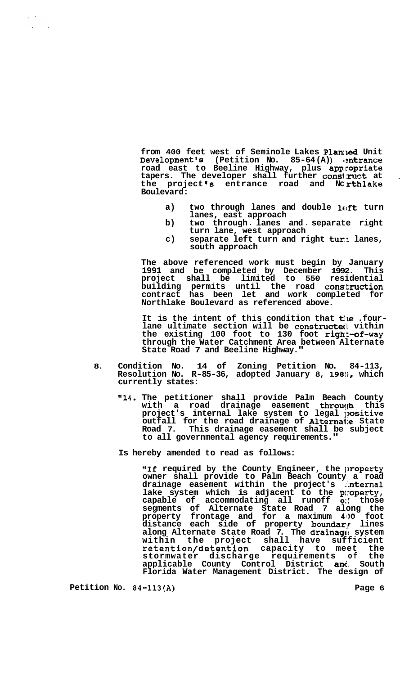from 400 feet west of Seminole Lakes Planned Unit **Development's (Petition No. 85-64 (A)** ) **Imtrance road east to Beeline Highway, plus appropriate tapers. The developer shall further cons1:ruct at** . **the project 's entrance road and Nc rthlake Boulevard:** 

- a) two through lanes and double lef**t** turn **lanes, east approach**
- **b) two through** ~ **lanes and** . **separate right turn lane, west approach**
- c) separate left turn and right turn lanes, **south approach**

**The above referenced work must begin by January 1991 and be completed by December 1992. This project shall be limited to 550 residential building permits until the road construction contract has been let and work completed for Northlake Boulevard as referenced above.** 

It is the intent of this condition that the .four-<br>lane ultimate section will be constructed vithin the existing 100 foot to 130 foot **right-of-way through the Water Catchment Area between Alternate State Road 7 and Beeline Highway."** 

- **8. Condition No. 14 of Zoning Petition No. 84-113, Resolution No. R-85-36, adopted January 8, 198!i, which currently states:** 
	- **"14. The petitioner shall provide Palm Beach County**  with a road drainage easement throu<sub>(</sub>h this project's internal lake system to legal p**ositive outfall for the road drainage of Alterna1:e State Road 7. This drainage easement shall be subject to all governmental agency requirements."**

**Is hereby amended to read as follows:** 

"If required by the County Engineer, the property **owner shall provide to Palm Beach County a road**  drainage easement within the project's internal lake system which is adjacent to the property, **capable of accommodating all runoff** *0:'* **those segments of Alternate State Road 7 along the property frontage and for a maximum 4110 foot**  distance each side of property boundar<sub>!</sub> lines **along Alternate State Road 7. The drainagc: system within the project shall have sufficient retention/detention capacity to meet the stormwater discharge requirements of the**  applicable County Control District and South **Florida Water Management District. The design of** 

**Petition No. 84-113(A)** Page 6

 $\mathcal{L}^{\text{max}}$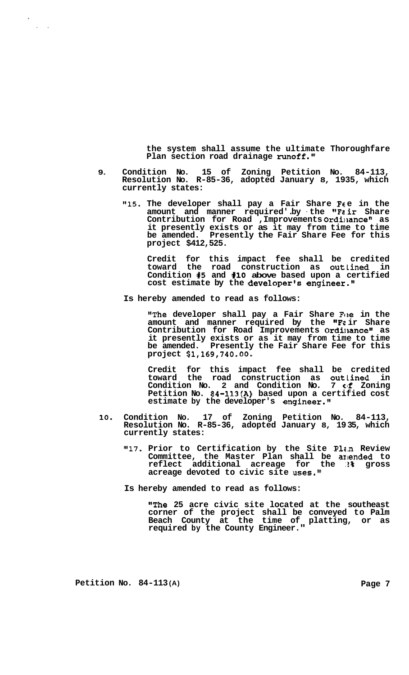**the system shall assume the ultimate Thoroughfare Plan section road drainage runoff."** 

- **9. Condition No. 15 of Zoning Petition No. 84-113, Resolution No. R-85-36, adopted January 8, 1935, which currently states:** 
	- "15. The developer shall pay a Fair Share Fee in the amount and manner required'.by the "Fair Share Contribution for Road , Improvements Ordinance" as **it presently exists or as it may from time to time be amended. Presently the Fair Share Fee for this project \$412,525.**

**Credit for this impact fee shall be credited toward the road construction as outlined in Condition 15 and #lo above based upon a certified cost estimate by the developer's engineer."** 

**Is hereby amended to read as follows:** 

**"The developer shall pay a Fair Share Fee in the** amount and manner required by the "Fair Share Contribution for Road Improvements Ordinance" as **it presently exists or as it may from time to time be amended. Presently the Fair Share Fee for this project \$1,169,740.00.** 

**Credit for this impact fee shall be credited toward the road construction as outlined in**  Condition No. 2 and Condition No. 7 of Zoning **Petition No. 84-113(A) based upon a certified cost estimate by the developer's engineer."** 

- **10. Condition No. 17 of Zoning Petition No. 84-113, Resolution No. R-85-36, adopted January 8, 19 35, which currently states:** 
	- **"17. Prior to Certification by the Site P1e.n Review Committee, the Master Plan shall be amlended to reflect additional acreage for the** *.I%* **gross acreage devoted to civic site uses."**

**Is hereby amended to read as follows:** 

**"The 25 acre civic site located at the southeast corner of the project shall be conveyed to Palm Beach County at the time of platting, or as required by the County Engineer."** 

**Petition No. 84-113(A) Page 7** 

..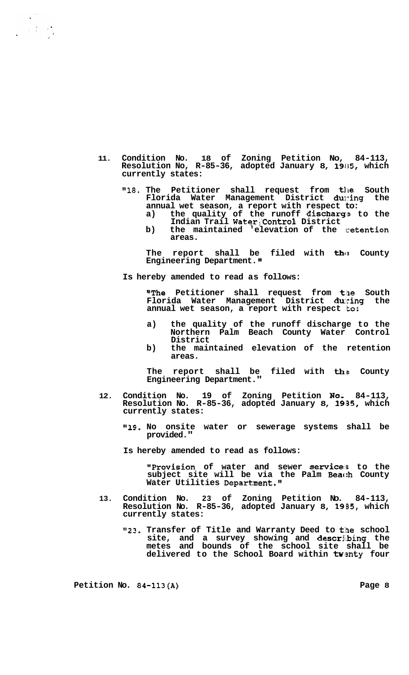- **11. Condition No. 18 of Zoning Petition No, 84-113, Resolution No, R-85-36, adopted January 8, 1985, which currently states:** 
	- **"18. The Petitioner shall request from the South Florida Water Management District during the annual wet season, a report with respect to:** 
		- a) the quality of the runoff discharge to the **Indian Trail Waterj'Contro?: District**
		- b) the maintained elevation of the retention **areas.**

The report shall be filed with the County **Engineering Department.** 

**Is hereby amended to read as follows:** 

**"The Petitioner shall request from tlne South Florida Water Management District dulring the annual wet season, a report with respect 'to:** 

- **a) the quality of the runoff discharge to the Northern Palm Beach County Water Control District**
- **b) the maintained elevation of the retention areas.**

The report shall be filed with the County **Engineering Department."** 

- **12. Condition No. 19 of Zoning Petition Noi 84-113, Resolution No. R-85-36, adopted January 8, 19;35, which currently states:** 
	- **@119. No onsite water or sewerage systems shall be provided."**

**Is hereby amended to read as follows:** 

**IProvision of water and sewer service: to the subject site will be via the Palm Beach County Water Utilities Department.'#** 

- **13. Condition No. 23 of Zoning Petition No. 84-113, Resolution No. R-85-36, adopted January 8, 19B5, which currently states:** 
	- "23. Transfer of Title and Warranty Deed to the school **site, and a survey showing and descrii.bing the metes and bounds of the school site shall be**  delivered to the School Board within twenty four

Petition No. 84-113(A) Page 8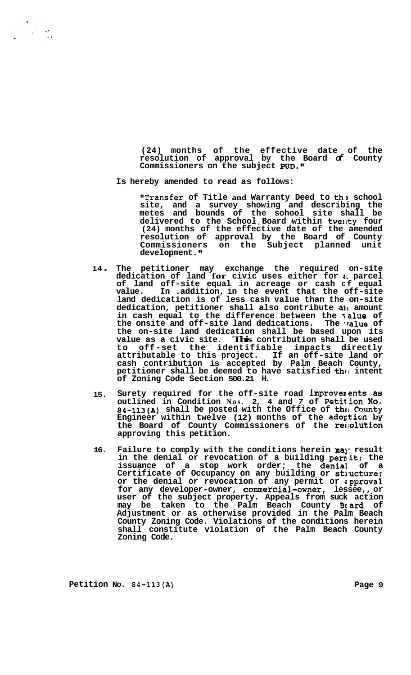**(24) months of the effective date of the resolution of approval by the Board** *of* **County**  Commissioners on the subject **PUD.**"

**Is hereby amended to read as follows:** 

**"Transfer of Title and Warranty Deed to the school site, and a survey showing and describing the metes and bounds of the sohool site shall be delivered to the School** ~ **Board -within twel~ty four (24) months of the effective date of the amended resolution of approval by the Board of County Commissioners on the Subject planned unit development.** 

- **<sup>14</sup>**. **The petitioner may exchange the required on-site dedication of land for civic uses either for 41 parcel**  of land off-site equal in acreage or cash cf equal **value. In .addition, in the event that the off-site land dedication is of less cash value than the on-site dedication, petitioner shall also contribute a11 amount in cash equal to the difference between the talue of**  the onsite and off-site land dedications. The value of **the on-site land dedication shall be based upon its value as a civic site. This contribution shall be used to off-set the identifiable impacts directly attributable to this project. If an off-site land or cash contribution is accepted by Palm Beach County,**  petitioner shall be deemed to have satisfied the intent **of Zoning Code Section 500.21 H.**
- **15. Surety required for the off-site road improvem ents as outlined in Condition Nos. 2, 4 and** *7* **of Petition NO. 84-113(A)** shall be posted with the Office of the County **Engineer within twelve (12) months of the adortion by the Board of County Commissioners of the rermlution approving this petition.**
- **16.**  Failure to comply with the conditions herein may result **in the denial or revocation of a building pernit; the issuance of a stop work order; the denial of a**  Certificate of Occupancy on any building or structure; **or the denial or revocation of any permit or z.pprova1**  for any developer-owner, commercial-owner, lessee,, or **user of the subject property. Appeals from suck action may be taken to the Palm Beach County Bcard of Adjustment or as otherwise provided in the Palm Beach County Zoning Code. Violations of the conditions herein shall constitute violation of the Palm Beach County Zoning Code.**

Petition No. 84-113(A) Page 9